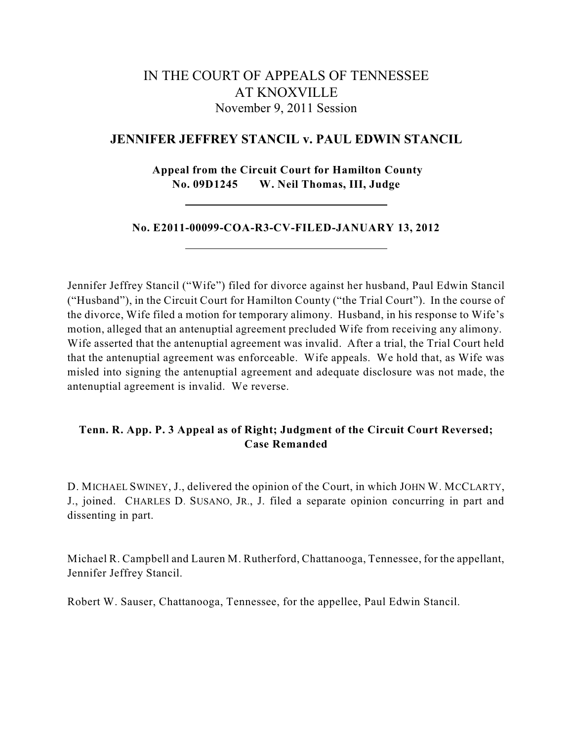# IN THE COURT OF APPEALS OF TENNESSEE AT KNOXVILLE November 9, 2011 Session

# **JENNIFER JEFFREY STANCIL v. PAUL EDWIN STANCIL**

**Appeal from the Circuit Court for Hamilton County No. 09D1245 W. Neil Thomas, III, Judge**

#### **No. E2011-00099-COA-R3-CV-FILED-JANUARY 13, 2012**

Jennifer Jeffrey Stancil ("Wife") filed for divorce against her husband, Paul Edwin Stancil ("Husband"), in the Circuit Court for Hamilton County ("the Trial Court"). In the course of the divorce, Wife filed a motion for temporary alimony. Husband, in his response to Wife's motion, alleged that an antenuptial agreement precluded Wife from receiving any alimony. Wife asserted that the antenuptial agreement was invalid. After a trial, the Trial Court held that the antenuptial agreement was enforceable. Wife appeals. We hold that, as Wife was misled into signing the antenuptial agreement and adequate disclosure was not made, the antenuptial agreement is invalid. We reverse.

## **Tenn. R. App. P. 3 Appeal as of Right; Judgment of the Circuit Court Reversed; Case Remanded**

D. MICHAEL SWINEY, J., delivered the opinion of the Court, in which JOHN W. MCCLARTY, J., joined. CHARLES D. SUSANO, JR., J. filed a separate opinion concurring in part and dissenting in part.

Michael R. Campbell and Lauren M. Rutherford, Chattanooga, Tennessee, for the appellant, Jennifer Jeffrey Stancil.

Robert W. Sauser, Chattanooga, Tennessee, for the appellee, Paul Edwin Stancil.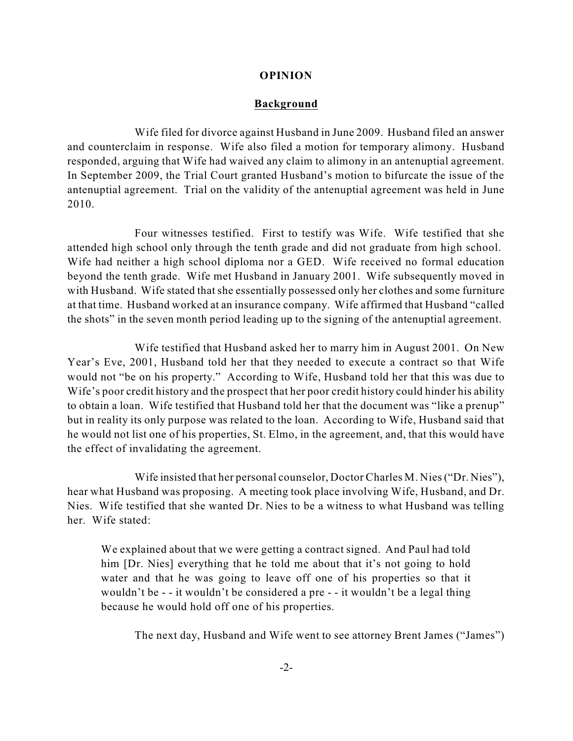#### **OPINION**

#### **Background**

Wife filed for divorce against Husband in June 2009. Husband filed an answer and counterclaim in response. Wife also filed a motion for temporary alimony. Husband responded, arguing that Wife had waived any claim to alimony in an antenuptial agreement. In September 2009, the Trial Court granted Husband's motion to bifurcate the issue of the antenuptial agreement. Trial on the validity of the antenuptial agreement was held in June 2010.

Four witnesses testified. First to testify was Wife. Wife testified that she attended high school only through the tenth grade and did not graduate from high school. Wife had neither a high school diploma nor a GED. Wife received no formal education beyond the tenth grade. Wife met Husband in January 2001. Wife subsequently moved in with Husband. Wife stated that she essentially possessed only her clothes and some furniture at that time. Husband worked at an insurance company. Wife affirmed that Husband "called the shots" in the seven month period leading up to the signing of the antenuptial agreement.

Wife testified that Husband asked her to marry him in August 2001. On New Year's Eve, 2001, Husband told her that they needed to execute a contract so that Wife would not "be on his property." According to Wife, Husband told her that this was due to Wife's poor credit history and the prospect that her poor credit history could hinder his ability to obtain a loan. Wife testified that Husband told her that the document was "like a prenup" but in reality its only purpose was related to the loan. According to Wife, Husband said that he would not list one of his properties, St. Elmo, in the agreement, and, that this would have the effect of invalidating the agreement.

Wife insisted that her personal counselor, Doctor Charles M. Nies("Dr. Nies"), hear what Husband was proposing. A meeting took place involving Wife, Husband, and Dr. Nies. Wife testified that she wanted Dr. Nies to be a witness to what Husband was telling her. Wife stated:

We explained about that we were getting a contract signed. And Paul had told him [Dr. Nies] everything that he told me about that it's not going to hold water and that he was going to leave off one of his properties so that it wouldn't be - - it wouldn't be considered a pre - - it wouldn't be a legal thing because he would hold off one of his properties.

The next day, Husband and Wife went to see attorney Brent James ("James")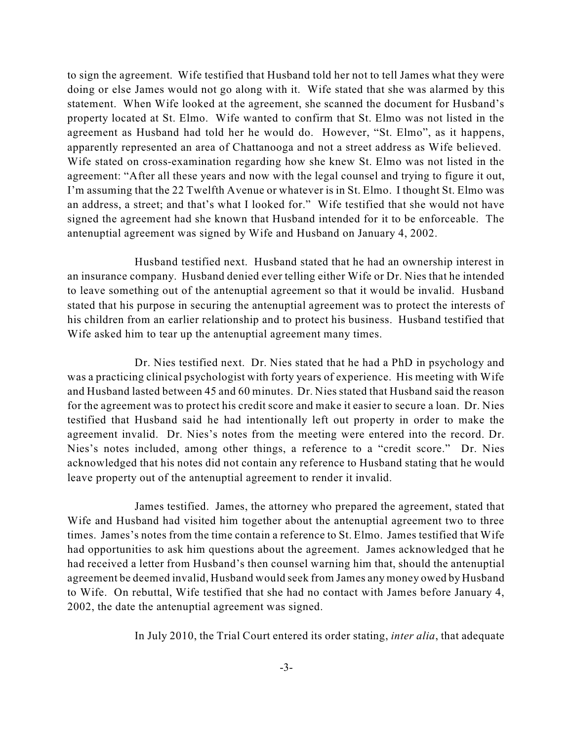to sign the agreement. Wife testified that Husband told her not to tell James what they were doing or else James would not go along with it. Wife stated that she was alarmed by this statement. When Wife looked at the agreement, she scanned the document for Husband's property located at St. Elmo. Wife wanted to confirm that St. Elmo was not listed in the agreement as Husband had told her he would do. However, "St. Elmo", as it happens, apparently represented an area of Chattanooga and not a street address as Wife believed. Wife stated on cross-examination regarding how she knew St. Elmo was not listed in the agreement: "After all these years and now with the legal counsel and trying to figure it out, I'm assuming that the 22 Twelfth Avenue or whatever is in St. Elmo. I thought St. Elmo was an address, a street; and that's what I looked for." Wife testified that she would not have signed the agreement had she known that Husband intended for it to be enforceable. The antenuptial agreement was signed by Wife and Husband on January 4, 2002.

Husband testified next. Husband stated that he had an ownership interest in an insurance company. Husband denied ever telling either Wife or Dr. Nies that he intended to leave something out of the antenuptial agreement so that it would be invalid. Husband stated that his purpose in securing the antenuptial agreement was to protect the interests of his children from an earlier relationship and to protect his business. Husband testified that Wife asked him to tear up the antenuptial agreement many times.

Dr. Nies testified next. Dr. Nies stated that he had a PhD in psychology and was a practicing clinical psychologist with forty years of experience. His meeting with Wife and Husband lasted between 45 and 60 minutes. Dr. Nies stated that Husband said the reason for the agreement was to protect his credit score and make it easier to secure a loan. Dr. Nies testified that Husband said he had intentionally left out property in order to make the agreement invalid. Dr. Nies's notes from the meeting were entered into the record. Dr. Nies's notes included, among other things, a reference to a "credit score." Dr. Nies acknowledged that his notes did not contain any reference to Husband stating that he would leave property out of the antenuptial agreement to render it invalid.

James testified. James, the attorney who prepared the agreement, stated that Wife and Husband had visited him together about the antenuptial agreement two to three times. James's notes from the time contain a reference to St. Elmo. James testified that Wife had opportunities to ask him questions about the agreement. James acknowledged that he had received a letter from Husband's then counsel warning him that, should the antenuptial agreement be deemed invalid, Husband would seek from James any money owed by Husband to Wife. On rebuttal, Wife testified that she had no contact with James before January 4, 2002, the date the antenuptial agreement was signed.

In July 2010, the Trial Court entered its order stating, *inter alia*, that adequate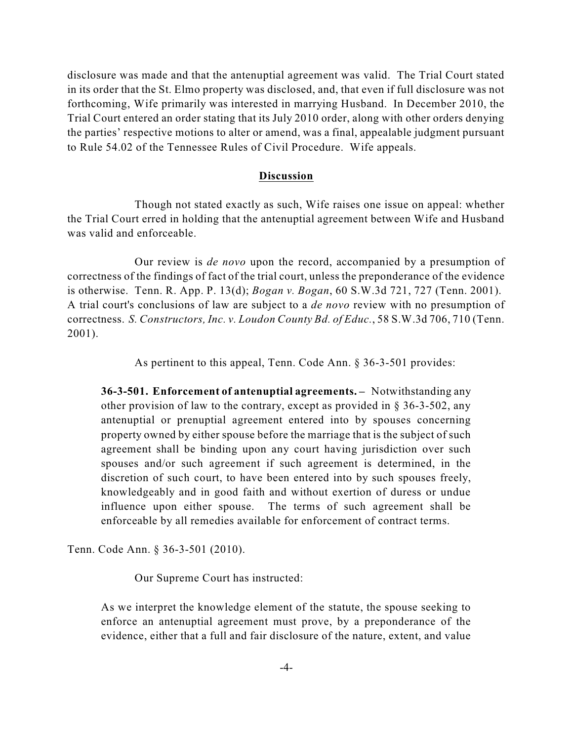disclosure was made and that the antenuptial agreement was valid. The Trial Court stated in its order that the St. Elmo property was disclosed, and, that even if full disclosure was not forthcoming, Wife primarily was interested in marrying Husband. In December 2010, the Trial Court entered an order stating that its July 2010 order, along with other orders denying the parties' respective motions to alter or amend, was a final, appealable judgment pursuant to Rule 54.02 of the Tennessee Rules of Civil Procedure. Wife appeals.

#### **Discussion**

Though not stated exactly as such, Wife raises one issue on appeal: whether the Trial Court erred in holding that the antenuptial agreement between Wife and Husband was valid and enforceable.

Our review is *de novo* upon the record, accompanied by a presumption of correctness of the findings of fact of the trial court, unless the preponderance of the evidence is otherwise. Tenn. R. App. P. 13(d); *Bogan v. Bogan*, 60 S.W.3d 721, 727 (Tenn. 2001). A trial court's conclusions of law are subject to a *de novo* review with no presumption of correctness. *S. Constructors, Inc. v. Loudon County Bd. of Educ.*, 58 S.W.3d 706, 710 (Tenn. 2001).

As pertinent to this appeal, Tenn. Code Ann. § 36-3-501 provides:

**36-3-501. Enforcement of antenuptial agreements. –** Notwithstanding any other provision of law to the contrary, except as provided in § 36-3-502, any antenuptial or prenuptial agreement entered into by spouses concerning property owned by either spouse before the marriage that is the subject of such agreement shall be binding upon any court having jurisdiction over such spouses and/or such agreement if such agreement is determined, in the discretion of such court, to have been entered into by such spouses freely, knowledgeably and in good faith and without exertion of duress or undue influence upon either spouse. The terms of such agreement shall be enforceable by all remedies available for enforcement of contract terms.

Tenn. Code Ann. § 36-3-501 (2010).

Our Supreme Court has instructed:

As we interpret the knowledge element of the statute, the spouse seeking to enforce an antenuptial agreement must prove, by a preponderance of the evidence, either that a full and fair disclosure of the nature, extent, and value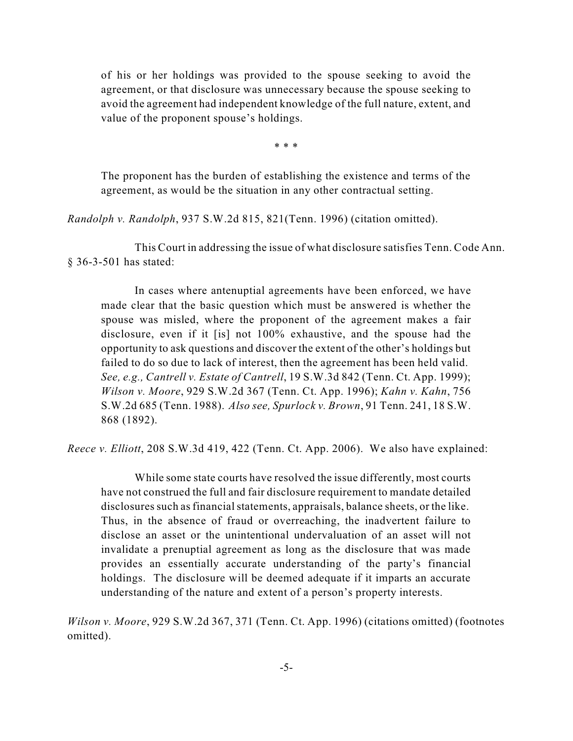of his or her holdings was provided to the spouse seeking to avoid the agreement, or that disclosure was unnecessary because the spouse seeking to avoid the agreement had independent knowledge of the full nature, extent, and value of the proponent spouse's holdings.

\* \* \*

The proponent has the burden of establishing the existence and terms of the agreement, as would be the situation in any other contractual setting.

*Randolph v. Randolph*, 937 S.W.2d 815, 821(Tenn. 1996) (citation omitted).

This Court in addressing the issue of what disclosure satisfies Tenn. Code Ann. § 36-3-501 has stated:

In cases where antenuptial agreements have been enforced, we have made clear that the basic question which must be answered is whether the spouse was misled, where the proponent of the agreement makes a fair disclosure, even if it [is] not 100% exhaustive, and the spouse had the opportunity to ask questions and discover the extent of the other's holdings but failed to do so due to lack of interest, then the agreement has been held valid. *See, e.g., Cantrell v. Estate of Cantrell*, 19 S.W.3d 842 (Tenn. Ct. App. 1999); *Wilson v. Moore*, 929 S.W.2d 367 (Tenn. Ct. App. 1996); *Kahn v. Kahn*, 756 S.W.2d 685 (Tenn. 1988). *Also see, Spurlock v. Brown*, 91 Tenn. 241, 18 S.W. 868 (1892).

*Reece v. Elliott*, 208 S.W.3d 419, 422 (Tenn. Ct. App. 2006). We also have explained:

While some state courts have resolved the issue differently, most courts have not construed the full and fair disclosure requirement to mandate detailed disclosures such as financial statements, appraisals, balance sheets, or the like. Thus, in the absence of fraud or overreaching, the inadvertent failure to disclose an asset or the unintentional undervaluation of an asset will not invalidate a prenuptial agreement as long as the disclosure that was made provides an essentially accurate understanding of the party's financial holdings. The disclosure will be deemed adequate if it imparts an accurate understanding of the nature and extent of a person's property interests.

*Wilson v. Moore*, 929 S.W.2d 367, 371 (Tenn. Ct. App. 1996) (citations omitted) (footnotes omitted).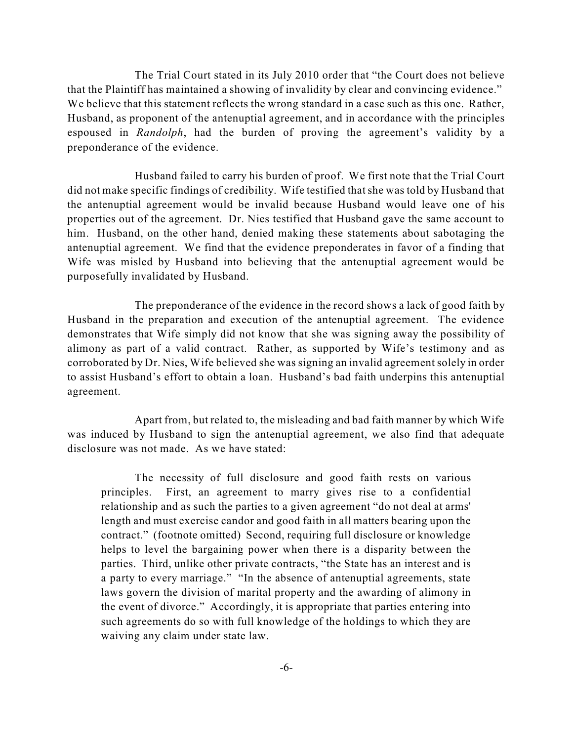The Trial Court stated in its July 2010 order that "the Court does not believe that the Plaintiff has maintained a showing of invalidity by clear and convincing evidence." We believe that this statement reflects the wrong standard in a case such as this one. Rather, Husband, as proponent of the antenuptial agreement, and in accordance with the principles espoused in *Randolph*, had the burden of proving the agreement's validity by a preponderance of the evidence.

Husband failed to carry his burden of proof. We first note that the Trial Court did not make specific findings of credibility. Wife testified thatshe was told by Husband that the antenuptial agreement would be invalid because Husband would leave one of his properties out of the agreement. Dr. Nies testified that Husband gave the same account to him. Husband, on the other hand, denied making these statements about sabotaging the antenuptial agreement. We find that the evidence preponderates in favor of a finding that Wife was misled by Husband into believing that the antenuptial agreement would be purposefully invalidated by Husband.

The preponderance of the evidence in the record shows a lack of good faith by Husband in the preparation and execution of the antenuptial agreement. The evidence demonstrates that Wife simply did not know that she was signing away the possibility of alimony as part of a valid contract. Rather, as supported by Wife's testimony and as corroborated by Dr. Nies, Wife believed she was signing an invalid agreement solely in order to assist Husband's effort to obtain a loan. Husband's bad faith underpins this antenuptial agreement.

Apart from, but related to, the misleading and bad faith manner by which Wife was induced by Husband to sign the antenuptial agreement, we also find that adequate disclosure was not made. As we have stated:

The necessity of full disclosure and good faith rests on various principles. First, an agreement to marry gives rise to a confidential relationship and as such the parties to a given agreement "do not deal at arms' length and must exercise candor and good faith in all matters bearing upon the contract." (footnote omitted) Second, requiring full disclosure or knowledge helps to level the bargaining power when there is a disparity between the parties. Third, unlike other private contracts, "the State has an interest and is a party to every marriage." "In the absence of antenuptial agreements, state laws govern the division of marital property and the awarding of alimony in the event of divorce." Accordingly, it is appropriate that parties entering into such agreements do so with full knowledge of the holdings to which they are waiving any claim under state law.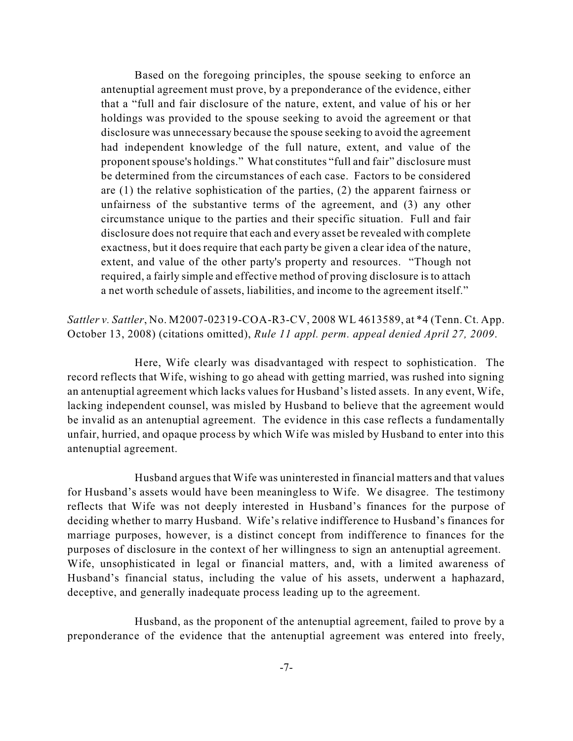Based on the foregoing principles, the spouse seeking to enforce an antenuptial agreement must prove, by a preponderance of the evidence, either that a "full and fair disclosure of the nature, extent, and value of his or her holdings was provided to the spouse seeking to avoid the agreement or that disclosure was unnecessary because the spouse seeking to avoid the agreement had independent knowledge of the full nature, extent, and value of the proponent spouse's holdings." What constitutes "full and fair" disclosure must be determined from the circumstances of each case. Factors to be considered are (1) the relative sophistication of the parties, (2) the apparent fairness or unfairness of the substantive terms of the agreement, and (3) any other circumstance unique to the parties and their specific situation. Full and fair disclosure does not require that each and every asset be revealed with complete exactness, but it does require that each party be given a clear idea of the nature, extent, and value of the other party's property and resources. "Though not required, a fairly simple and effective method of proving disclosure is to attach a net worth schedule of assets, liabilities, and income to the agreement itself."

# *Sattler v. Sattler*, No. M2007-02319-COA-R3-CV, 2008 WL 4613589, at \*4 (Tenn. Ct. App. October 13, 2008) (citations omitted), *Rule 11 appl. perm. appeal denied April 27, 2009*.

Here, Wife clearly was disadvantaged with respect to sophistication. The record reflects that Wife, wishing to go ahead with getting married, was rushed into signing an antenuptial agreement which lacks values for Husband's listed assets. In any event, Wife, lacking independent counsel, was misled by Husband to believe that the agreement would be invalid as an antenuptial agreement. The evidence in this case reflects a fundamentally unfair, hurried, and opaque process by which Wife was misled by Husband to enter into this antenuptial agreement.

Husband argues that Wife was uninterested in financial matters and that values for Husband's assets would have been meaningless to Wife. We disagree. The testimony reflects that Wife was not deeply interested in Husband's finances for the purpose of deciding whether to marry Husband. Wife's relative indifference to Husband's finances for marriage purposes, however, is a distinct concept from indifference to finances for the purposes of disclosure in the context of her willingness to sign an antenuptial agreement. Wife, unsophisticated in legal or financial matters, and, with a limited awareness of Husband's financial status, including the value of his assets, underwent a haphazard, deceptive, and generally inadequate process leading up to the agreement.

Husband, as the proponent of the antenuptial agreement, failed to prove by a preponderance of the evidence that the antenuptial agreement was entered into freely,